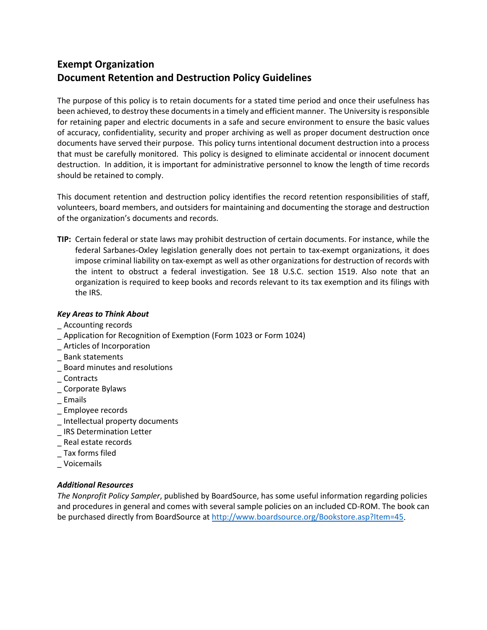## **Exempt Organization Document Retention and Destruction Policy Guidelines**

The purpose of this policy is to retain documents for a stated time period and once their usefulness has been achieved, to destroy these documents in a timely and efficient manner. The University is responsible for retaining paper and electric documents in a safe and secure environment to ensure the basic values of accuracy, confidentiality, security and proper archiving as well as proper document destruction once documents have served their purpose. This policy turns intentional document destruction into a process that must be carefully monitored. This policy is designed to eliminate accidental or innocent document destruction. In addition, it is important for administrative personnel to know the length of time records should be retained to comply.

This document retention and destruction policy identifies the record retention responsibilities of staff, volunteers, board members, and outsiders for maintaining and documenting the storage and destruction of the organization's documents and records.

**TIP:** Certain federal or state laws may prohibit destruction of certain documents. For instance, while the federal Sarbanes-Oxley legislation generally does not pertain to tax-exempt organizations, it does impose criminal liability on tax-exempt as well as other organizations for destruction of records with the intent to obstruct a federal investigation. See 18 U.S.C. section 1519. Also note that an organization is required to keep books and records relevant to its tax exemption and its filings with the IRS.

## *Key Areas to Think About*

- \_ Accounting records
- \_ Application for Recognition of Exemption (Form 1023 or Form 1024)
- \_ Articles of Incorporation
- \_ Bank statements
- \_ Board minutes and resolutions
- \_ Contracts
- \_ Corporate Bylaws
- \_ Emails
- \_ Employee records
- \_ Intellectual property documents
- \_ IRS Determination Letter
- \_ Real estate records
- \_ Tax forms filed
- \_ Voicemails

## *Additional Resources*

*The Nonprofit Policy Sampler*, published by BoardSource, has some useful information regarding policies and procedures in general and comes with several sample policies on an included CD-ROM. The book can be purchased directly from BoardSource at [http://www.boardsource.org/Bookstore.asp?Item=45.](http://www.boardsource.org/Bookstore.asp?Item=45)